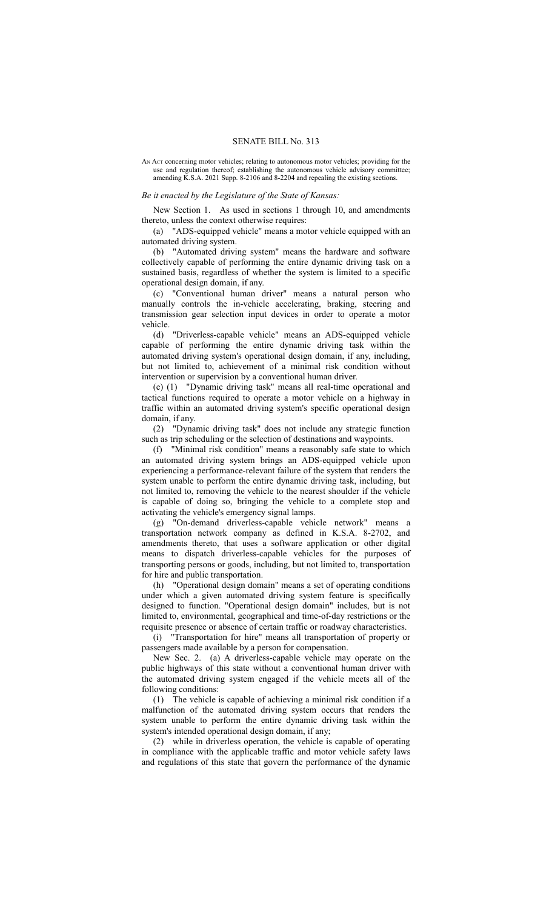## SENATE BILL No. 313

AN ACT concerning motor vehicles; relating to autonomous motor vehicles; providing for the use and regulation thereof; establishing the autonomous vehicle advisory committee; amending K.S.A. 2021 Supp. 8-2106 and 8-2204 and repealing the existing sections.

## *Be it enacted by the Legislature of the State of Kansas:*

New Section 1. As used in sections 1 through 10, and amendments thereto, unless the context otherwise requires:

(a) "ADS-equipped vehicle" means a motor vehicle equipped with an automated driving system.

(b) "Automated driving system" means the hardware and software collectively capable of performing the entire dynamic driving task on a sustained basis, regardless of whether the system is limited to a specific operational design domain, if any.

(c) "Conventional human driver" means a natural person who manually controls the in-vehicle accelerating, braking, steering and transmission gear selection input devices in order to operate a motor vehicle.

(d) "Driverless-capable vehicle" means an ADS-equipped vehicle capable of performing the entire dynamic driving task within the automated driving system's operational design domain, if any, including, but not limited to, achievement of a minimal risk condition without intervention or supervision by a conventional human driver.

(e) (1) "Dynamic driving task" means all real-time operational and tactical functions required to operate a motor vehicle on a highway in traffic within an automated driving system's specific operational design domain, if any.

(2) "Dynamic driving task" does not include any strategic function such as trip scheduling or the selection of destinations and waypoints.

(f) "Minimal risk condition" means a reasonably safe state to which an automated driving system brings an ADS-equipped vehicle upon experiencing a performance-relevant failure of the system that renders the system unable to perform the entire dynamic driving task, including, but not limited to, removing the vehicle to the nearest shoulder if the vehicle is capable of doing so, bringing the vehicle to a complete stop and activating the vehicle's emergency signal lamps.

(g) "On-demand driverless-capable vehicle network" means a transportation network company as defined in K.S.A. 8-2702, and amendments thereto, that uses a software application or other digital means to dispatch driverless-capable vehicles for the purposes of transporting persons or goods, including, but not limited to, transportation for hire and public transportation.

(h) "Operational design domain" means a set of operating conditions under which a given automated driving system feature is specifically designed to function. "Operational design domain" includes, but is not limited to, environmental, geographical and time-of-day restrictions or the requisite presence or absence of certain traffic or roadway characteristics.

(i) "Transportation for hire" means all transportation of property or passengers made available by a person for compensation.

New Sec. 2. (a) A driverless-capable vehicle may operate on the public highways of this state without a conventional human driver with the automated driving system engaged if the vehicle meets all of the following conditions:

(1) The vehicle is capable of achieving a minimal risk condition if a malfunction of the automated driving system occurs that renders the system unable to perform the entire dynamic driving task within the system's intended operational design domain, if any;

(2) while in driverless operation, the vehicle is capable of operating in compliance with the applicable traffic and motor vehicle safety laws and regulations of this state that govern the performance of the dynamic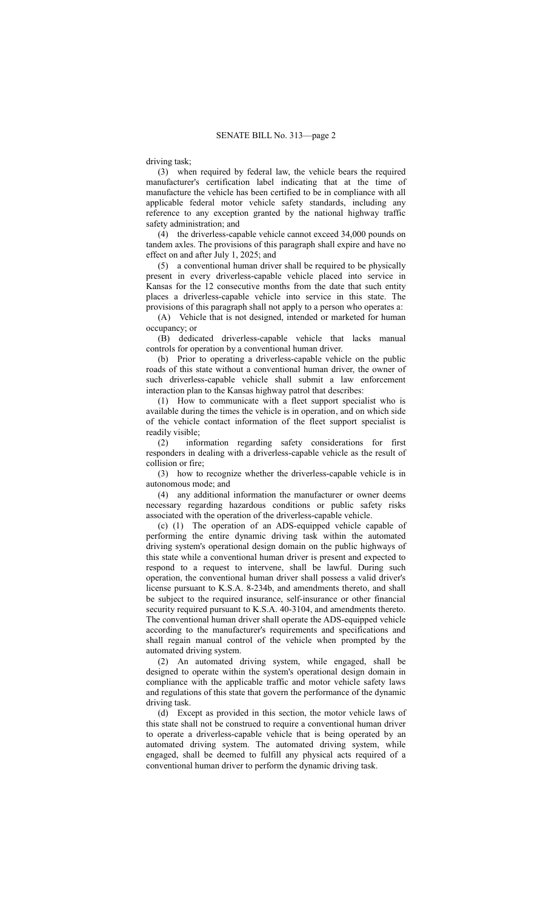driving task;

(3) when required by federal law, the vehicle bears the required manufacturer's certification label indicating that at the time of manufacture the vehicle has been certified to be in compliance with all applicable federal motor vehicle safety standards, including any reference to any exception granted by the national highway traffic safety administration; and

(4) the driverless-capable vehicle cannot exceed 34,000 pounds on tandem axles. The provisions of this paragraph shall expire and have no effect on and after July 1, 2025; and

(5) a conventional human driver shall be required to be physically present in every driverless-capable vehicle placed into service in Kansas for the 12 consecutive months from the date that such entity places a driverless-capable vehicle into service in this state. The provisions of this paragraph shall not apply to a person who operates a:

(A) Vehicle that is not designed, intended or marketed for human occupancy; or

(B) dedicated driverless-capable vehicle that lacks manual controls for operation by a conventional human driver.

(b) Prior to operating a driverless-capable vehicle on the public roads of this state without a conventional human driver, the owner of such driverless-capable vehicle shall submit a law enforcement interaction plan to the Kansas highway patrol that describes:

(1) How to communicate with a fleet support specialist who is available during the times the vehicle is in operation, and on which side of the vehicle contact information of the fleet support specialist is readily visible;

(2) information regarding safety considerations for first responders in dealing with a driverless-capable vehicle as the result of collision or fire;

(3) how to recognize whether the driverless-capable vehicle is in autonomous mode; and

(4) any additional information the manufacturer or owner deems necessary regarding hazardous conditions or public safety risks associated with the operation of the driverless-capable vehicle.

(c) (1) The operation of an ADS-equipped vehicle capable of performing the entire dynamic driving task within the automated driving system's operational design domain on the public highways of this state while a conventional human driver is present and expected to respond to a request to intervene, shall be lawful. During such operation, the conventional human driver shall possess a valid driver's license pursuant to K.S.A. 8-234b, and amendments thereto, and shall be subject to the required insurance, self-insurance or other financial security required pursuant to K.S.A. 40-3104, and amendments thereto. The conventional human driver shall operate the ADS-equipped vehicle according to the manufacturer's requirements and specifications and shall regain manual control of the vehicle when prompted by the automated driving system.

(2) An automated driving system, while engaged, shall be designed to operate within the system's operational design domain in compliance with the applicable traffic and motor vehicle safety laws and regulations of this state that govern the performance of the dynamic driving task.

(d) Except as provided in this section, the motor vehicle laws of this state shall not be construed to require a conventional human driver to operate a driverless-capable vehicle that is being operated by an automated driving system. The automated driving system, while engaged, shall be deemed to fulfill any physical acts required of a conventional human driver to perform the dynamic driving task.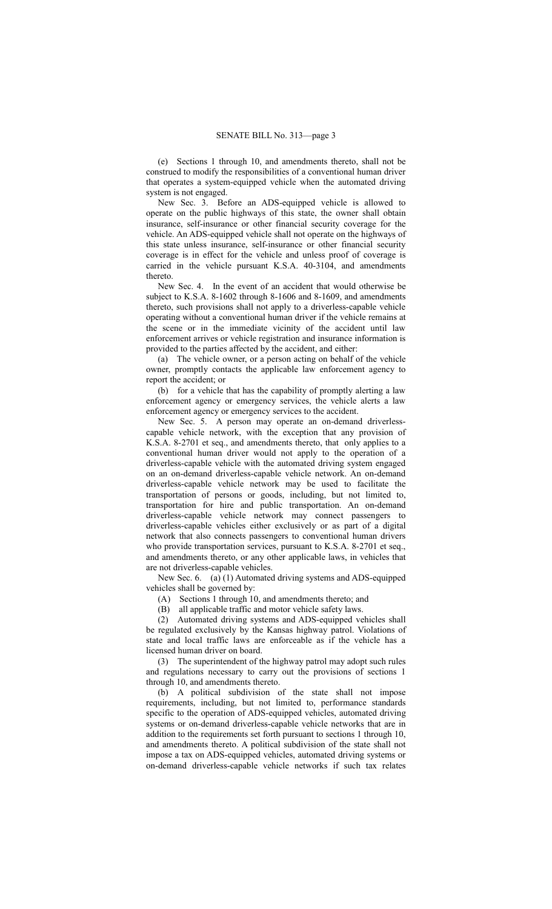(e) Sections 1 through 10, and amendments thereto, shall not be construed to modify the responsibilities of a conventional human driver that operates a system-equipped vehicle when the automated driving system is not engaged.

New Sec. 3. Before an ADS-equipped vehicle is allowed to operate on the public highways of this state, the owner shall obtain insurance, self-insurance or other financial security coverage for the vehicle. An ADS-equipped vehicle shall not operate on the highways of this state unless insurance, self-insurance or other financial security coverage is in effect for the vehicle and unless proof of coverage is carried in the vehicle pursuant K.S.A. 40-3104, and amendments thereto.

New Sec. 4. In the event of an accident that would otherwise be subject to K.S.A. 8-1602 through 8-1606 and 8-1609, and amendments thereto, such provisions shall not apply to a driverless-capable vehicle operating without a conventional human driver if the vehicle remains at the scene or in the immediate vicinity of the accident until law enforcement arrives or vehicle registration and insurance information is provided to the parties affected by the accident, and either:

(a) The vehicle owner, or a person acting on behalf of the vehicle owner, promptly contacts the applicable law enforcement agency to report the accident; or

(b) for a vehicle that has the capability of promptly alerting a law enforcement agency or emergency services, the vehicle alerts a law enforcement agency or emergency services to the accident.

New Sec. 5. A person may operate an on-demand driverlesscapable vehicle network, with the exception that any provision of K.S.A. 8-2701 et seq., and amendments thereto, that only applies to a conventional human driver would not apply to the operation of a driverless-capable vehicle with the automated driving system engaged on an on-demand driverless-capable vehicle network. An on-demand driverless-capable vehicle network may be used to facilitate the transportation of persons or goods, including, but not limited to, transportation for hire and public transportation. An on-demand driverless-capable vehicle network may connect passengers to driverless-capable vehicles either exclusively or as part of a digital network that also connects passengers to conventional human drivers who provide transportation services, pursuant to K.S.A. 8-2701 et seq., and amendments thereto, or any other applicable laws, in vehicles that are not driverless-capable vehicles.

New Sec. 6. (a) (1) Automated driving systems and ADS-equipped vehicles shall be governed by:

(A) Sections 1 through 10, and amendments thereto; and

(B) all applicable traffic and motor vehicle safety laws.

(2) Automated driving systems and ADS-equipped vehicles shall be regulated exclusively by the Kansas highway patrol. Violations of state and local traffic laws are enforceable as if the vehicle has a licensed human driver on board.

(3) The superintendent of the highway patrol may adopt such rules and regulations necessary to carry out the provisions of sections 1 through 10, and amendments thereto.

(b) A political subdivision of the state shall not impose requirements, including, but not limited to, performance standards specific to the operation of ADS-equipped vehicles, automated driving systems or on-demand driverless-capable vehicle networks that are in addition to the requirements set forth pursuant to sections 1 through 10, and amendments thereto. A political subdivision of the state shall not impose a tax on ADS-equipped vehicles, automated driving systems or on-demand driverless-capable vehicle networks if such tax relates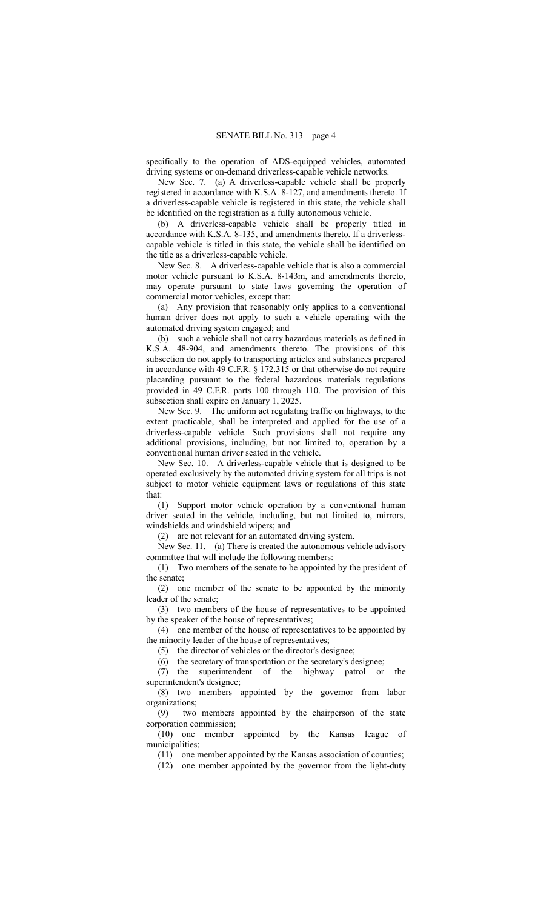specifically to the operation of ADS-equipped vehicles, automated driving systems or on-demand driverless-capable vehicle networks.

New Sec. 7. (a) A driverless-capable vehicle shall be properly registered in accordance with K.S.A. 8-127, and amendments thereto. If a driverless-capable vehicle is registered in this state, the vehicle shall be identified on the registration as a fully autonomous vehicle.

(b) A driverless-capable vehicle shall be properly titled in accordance with K.S.A. 8-135, and amendments thereto. If a driverlesscapable vehicle is titled in this state, the vehicle shall be identified on the title as a driverless-capable vehicle.

New Sec. 8. A driverless-capable vehicle that is also a commercial motor vehicle pursuant to K.S.A. 8-143m, and amendments thereto, may operate pursuant to state laws governing the operation of commercial motor vehicles, except that:

(a) Any provision that reasonably only applies to a conventional human driver does not apply to such a vehicle operating with the automated driving system engaged; and

(b) such a vehicle shall not carry hazardous materials as defined in K.S.A. 48-904, and amendments thereto. The provisions of this subsection do not apply to transporting articles and substances prepared in accordance with 49 C.F.R. § 172.315 or that otherwise do not require placarding pursuant to the federal hazardous materials regulations provided in 49 C.F.R. parts 100 through 110. The provision of this subsection shall expire on January 1, 2025.

New Sec. 9. The uniform act regulating traffic on highways, to the extent practicable, shall be interpreted and applied for the use of a driverless-capable vehicle. Such provisions shall not require any additional provisions, including, but not limited to, operation by a conventional human driver seated in the vehicle.

New Sec. 10. A driverless-capable vehicle that is designed to be operated exclusively by the automated driving system for all trips is not subject to motor vehicle equipment laws or regulations of this state that:

(1) Support motor vehicle operation by a conventional human driver seated in the vehicle, including, but not limited to, mirrors, windshields and windshield wipers; and

(2) are not relevant for an automated driving system.

New Sec. 11. (a) There is created the autonomous vehicle advisory committee that will include the following members:

(1) Two members of the senate to be appointed by the president of the senate;

(2) one member of the senate to be appointed by the minority leader of the senate;

(3) two members of the house of representatives to be appointed by the speaker of the house of representatives;

(4) one member of the house of representatives to be appointed by the minority leader of the house of representatives;

(5) the director of vehicles or the director's designee;

(6) the secretary of transportation or the secretary's designee;

(7) the superintendent of the highway patrol or the superintendent's designee;

(8) two members appointed by the governor from labor organizations;

(9) two members appointed by the chairperson of the state corporation commission;

(10) one member appointed by the Kansas league of municipalities;

(11) one member appointed by the Kansas association of counties;

(12) one member appointed by the governor from the light-duty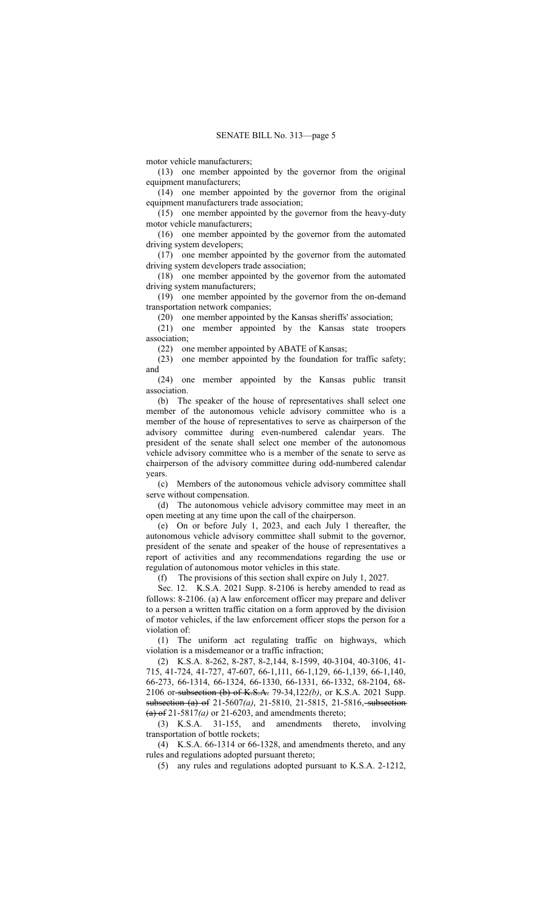motor vehicle manufacturers;

(13) one member appointed by the governor from the original equipment manufacturers;

(14) one member appointed by the governor from the original equipment manufacturers trade association;

(15) one member appointed by the governor from the heavy-duty motor vehicle manufacturers;

(16) one member appointed by the governor from the automated driving system developers;

(17) one member appointed by the governor from the automated driving system developers trade association;

(18) one member appointed by the governor from the automated driving system manufacturers;

(19) one member appointed by the governor from the on-demand transportation network companies;

(20) one member appointed by the Kansas sheriffs' association;

(21) one member appointed by the Kansas state troopers association;

(22) one member appointed by ABATE of Kansas;

(23) one member appointed by the foundation for traffic safety; and

(24) one member appointed by the Kansas public transit association.

(b) The speaker of the house of representatives shall select one member of the autonomous vehicle advisory committee who is a member of the house of representatives to serve as chairperson of the advisory committee during even-numbered calendar years. The president of the senate shall select one member of the autonomous vehicle advisory committee who is a member of the senate to serve as chairperson of the advisory committee during odd-numbered calendar years.

(c) Members of the autonomous vehicle advisory committee shall serve without compensation.

(d) The autonomous vehicle advisory committee may meet in an open meeting at any time upon the call of the chairperson.

(e) On or before July 1, 2023, and each July 1 thereafter, the autonomous vehicle advisory committee shall submit to the governor, president of the senate and speaker of the house of representatives a report of activities and any recommendations regarding the use or regulation of autonomous motor vehicles in this state.

(f) The provisions of this section shall expire on July 1, 2027.

Sec. 12. K.S.A. 2021 Supp. 8-2106 is hereby amended to read as follows: 8-2106. (a) A law enforcement officer may prepare and deliver to a person a written traffic citation on a form approved by the division of motor vehicles, if the law enforcement officer stops the person for a violation of:

(1) The uniform act regulating traffic on highways, which violation is a misdemeanor or a traffic infraction;

(2) K.S.A. 8-262, 8-287, 8-2,144, 8-1599, 40-3104, 40-3106, 41- 715, 41-724, 41-727, 47-607, 66-1,111, 66-1,129, 66-1,139, 66-1,140, 66-273, 66-1314, 66-1324, 66-1330, 66-1331, 66-1332, 68-2104, 68- 2106 or subsection (b) of K.S.A. 79-34,122*(b)*, or K.S.A. 2021 Supp. subsection (a) of 21-5607(a), 21-5810, 21-5815, 21-5816, subsection-(a) of 21-5817*(a)* or 21-6203, and amendments thereto;

(3) K.S.A. 31-155, and amendments thereto, involving transportation of bottle rockets;

(4) K.S.A. 66-1314 or 66-1328, and amendments thereto, and any rules and regulations adopted pursuant thereto;

(5) any rules and regulations adopted pursuant to K.S.A. 2-1212,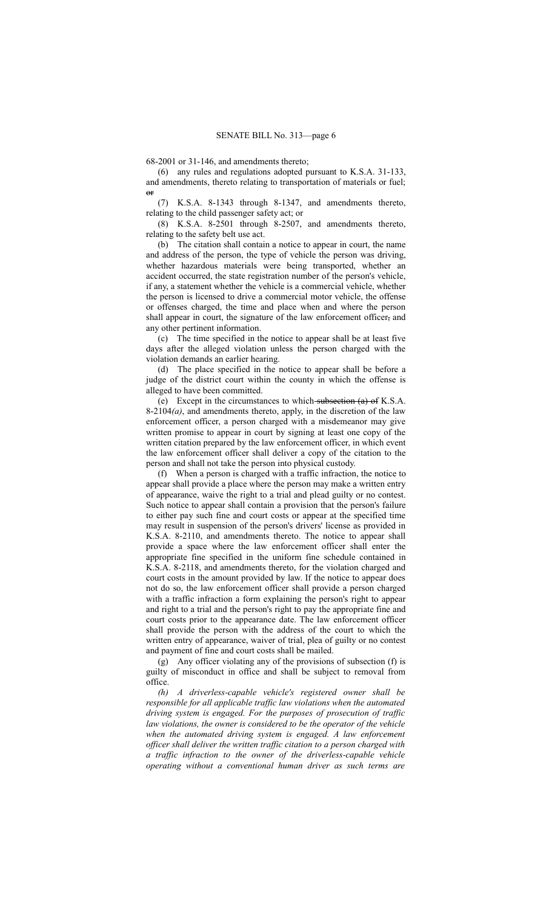68-2001 or 31-146, and amendments thereto;

(6) any rules and regulations adopted pursuant to K.S.A. 31-133, and amendments, thereto relating to transportation of materials or fuel;  $\theta$ <sup>r</sup>

(7) K.S.A. 8-1343 through 8-1347, and amendments thereto, relating to the child passenger safety act; or

(8) K.S.A. 8-2501 through 8-2507, and amendments thereto, relating to the safety belt use act.

(b) The citation shall contain a notice to appear in court, the name and address of the person, the type of vehicle the person was driving, whether hazardous materials were being transported, whether an accident occurred, the state registration number of the person's vehicle, if any, a statement whether the vehicle is a commercial vehicle, whether the person is licensed to drive a commercial motor vehicle, the offense or offenses charged, the time and place when and where the person shall appear in court, the signature of the law enforcement officer, and any other pertinent information.

(c) The time specified in the notice to appear shall be at least five days after the alleged violation unless the person charged with the violation demands an earlier hearing.

(d) The place specified in the notice to appear shall be before a judge of the district court within the county in which the offense is alleged to have been committed.

(e) Except in the circumstances to which subsection (a) of K.S.A. 8-2104*(a)*, and amendments thereto, apply, in the discretion of the law enforcement officer, a person charged with a misdemeanor may give written promise to appear in court by signing at least one copy of the written citation prepared by the law enforcement officer, in which event the law enforcement officer shall deliver a copy of the citation to the person and shall not take the person into physical custody.

(f) When a person is charged with a traffic infraction, the notice to appear shall provide a place where the person may make a written entry of appearance, waive the right to a trial and plead guilty or no contest. Such notice to appear shall contain a provision that the person's failure to either pay such fine and court costs or appear at the specified time may result in suspension of the person's drivers' license as provided in K.S.A. 8-2110, and amendments thereto. The notice to appear shall provide a space where the law enforcement officer shall enter the appropriate fine specified in the uniform fine schedule contained in K.S.A. 8-2118, and amendments thereto, for the violation charged and court costs in the amount provided by law. If the notice to appear does not do so, the law enforcement officer shall provide a person charged with a traffic infraction a form explaining the person's right to appear and right to a trial and the person's right to pay the appropriate fine and court costs prior to the appearance date. The law enforcement officer shall provide the person with the address of the court to which the written entry of appearance, waiver of trial, plea of guilty or no contest and payment of fine and court costs shall be mailed.

(g) Any officer violating any of the provisions of subsection (f) is guilty of misconduct in office and shall be subject to removal from office.

*(h) A driverless-capable vehicle's registered owner shall be responsible for all applicable traffic law violations when the automated driving system is engaged. For the purposes of prosecution of traffic law violations, the owner is considered to be the operator of the vehicle when the automated driving system is engaged. A law enforcement officer shall deliver the written traffic citation to a person charged with a traffic infraction to the owner of the driverless-capable vehicle operating without a conventional human driver as such terms are*